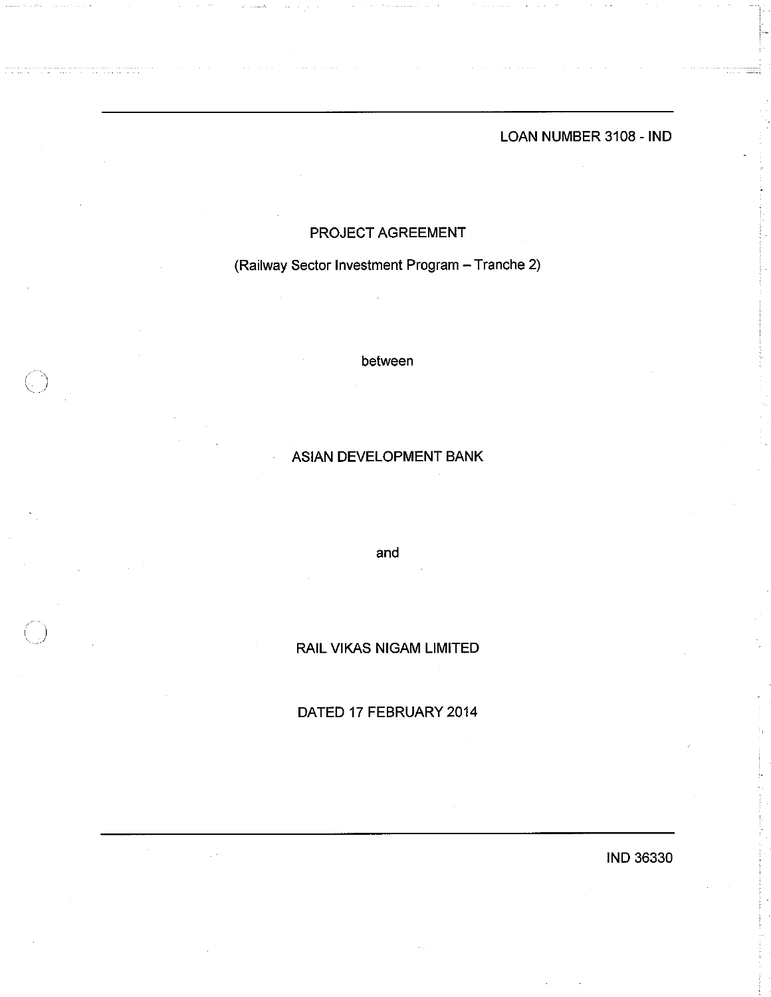LOAN NUMBER 3108 - IND

# PROJECT AGREEMENT

(Railway Sector Investment Program - Tranche 2)

between

# **ASIAN DEVELOPMENT BANK**

and

**RAIL VIKAS NIGAM LIMITED** 

# DATED 17 FEBRUARY 2014

**IND 36330**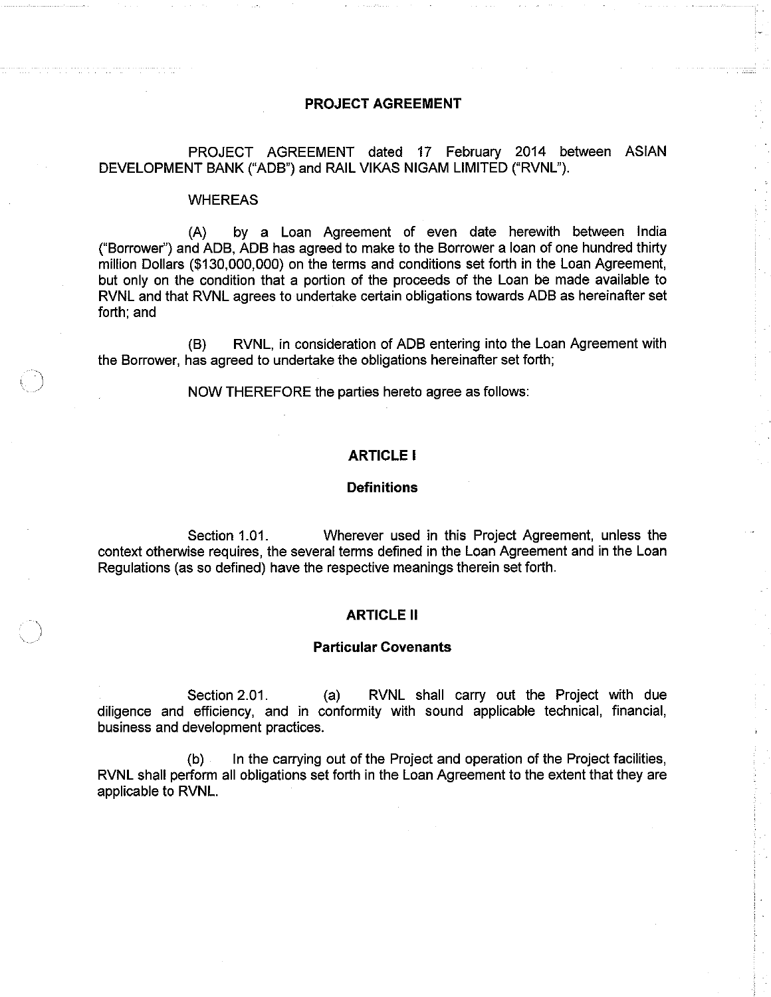## **PROJECT AGREEMENT**

PROJECT AGREEMENT dated 17 February 2014 between ASIAN DEVELOPMENT BANK ("ADB") and RAIL VIKAS NIGAM LIMITED ("RVNL").

#### **WHEREAS**

 $(A)$ by a Loan Agreement of even date herewith between India ("Borrower") and ADB, ADB has agreed to make to the Borrower a loan of one hundred thirty million Dollars (\$130,000,000) on the terms and conditions set forth in the Loan Agreement, but only on the condition that a portion of the proceeds of the Loan be made available to RVNL and that RVNL agrees to undertake certain obligations towards ADB as hereinafter set forth; and

RVNL, in consideration of ADB entering into the Loan Agreement with  $(B)$ the Borrower, has agreed to undertake the obligations hereinafter set forth:

NOW THEREFORE the parties hereto agree as follows:

## **ARTICLE I**

### **Definitions**

Section 1.01. Wherever used in this Project Agreement, unless the context otherwise requires, the several terms defined in the Loan Agreement and in the Loan Regulations (as so defined) have the respective meanings therein set forth.

#### **ARTICLE II**

#### **Particular Covenants**

Section 2.01.  $(a)$ RVNL shall carry out the Project with due diligence and efficiency, and in conformity with sound applicable technical, financial, business and development practices.

In the carrying out of the Project and operation of the Project facilities,  $(b)$ RVNL shall perform all obligations set forth in the Loan Agreement to the extent that they are applicable to RVNL.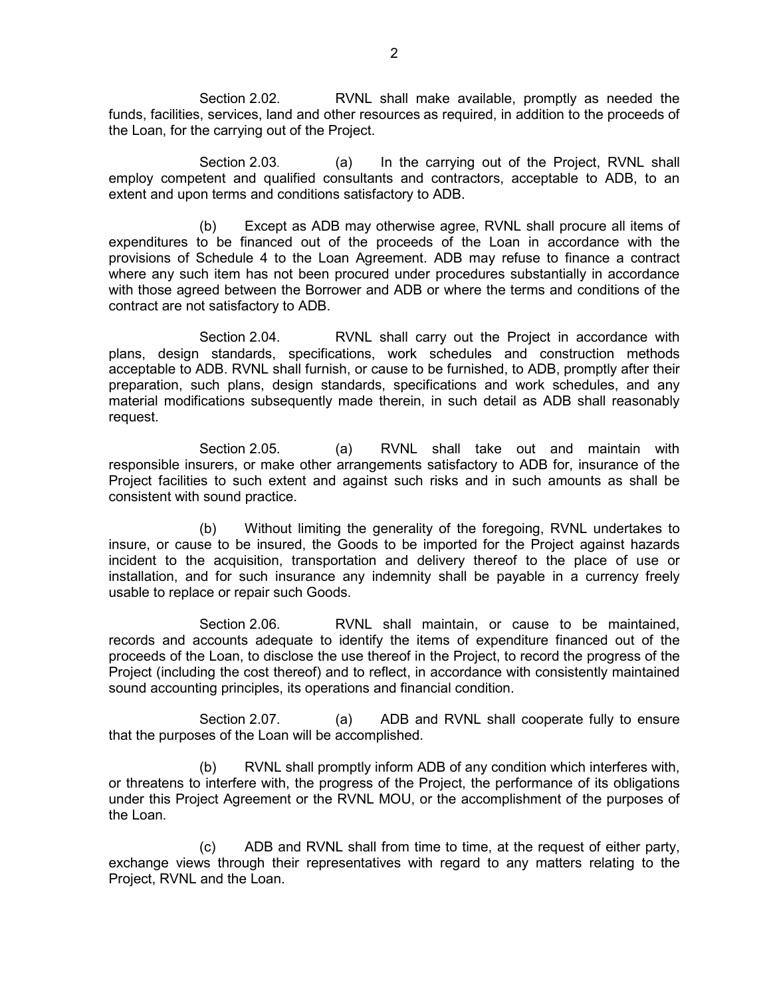Section 2.02. RVNL shall make available, promptly as needed the funds, facilities, services, land and other resources as required, in addition to the proceeds of the Loan, for the carrying out of the Project.

Section 2.03. (a) In the carrying out of the Project, RVNL shall employ competent and qualified consultants and contractors, acceptable to ADB, to an extent and upon terms and conditions satisfactory to ADB.

 (b) Except as ADB may otherwise agree, RVNL shall procure all items of expenditures to be financed out of the proceeds of the Loan in accordance with the provisions of Schedule 4 to the Loan Agreement. ADB may refuse to finance a contract where any such item has not been procured under procedures substantially in accordance with those agreed between the Borrower and ADB or where the terms and conditions of the contract are not satisfactory to ADB.

 Section 2.04. RVNL shall carry out the Project in accordance with plans, design standards, specifications, work schedules and construction methods acceptable to ADB. RVNL shall furnish, or cause to be furnished, to ADB, promptly after their preparation, such plans, design standards, specifications and work schedules, and any material modifications subsequently made therein, in such detail as ADB shall reasonably request.

Section 2.05. (a) RVNL shall take out and maintain with responsible insurers, or make other arrangements satisfactory to ADB for, insurance of the Project facilities to such extent and against such risks and in such amounts as shall be consistent with sound practice.

 (b) Without limiting the generality of the foregoing, RVNL undertakes to insure, or cause to be insured, the Goods to be imported for the Project against hazards incident to the acquisition, transportation and delivery thereof to the place of use or installation, and for such insurance any indemnity shall be payable in a currency freely usable to replace or repair such Goods.

 Section 2.06. RVNL shall maintain, or cause to be maintained, records and accounts adequate to identify the items of expenditure financed out of the proceeds of the Loan, to disclose the use thereof in the Project, to record the progress of the Project (including the cost thereof) and to reflect, in accordance with consistently maintained sound accounting principles, its operations and financial condition.

Section 2.07. (a) ADB and RVNL shall cooperate fully to ensure that the purposes of the Loan will be accomplished.

 (b) RVNL shall promptly inform ADB of any condition which interferes with, or threatens to interfere with, the progress of the Project, the performance of its obligations under this Project Agreement or the RVNL MOU, or the accomplishment of the purposes of the Loan.

 (c) ADB and RVNL shall from time to time, at the request of either party, exchange views through their representatives with regard to any matters relating to the Project, RVNL and the Loan.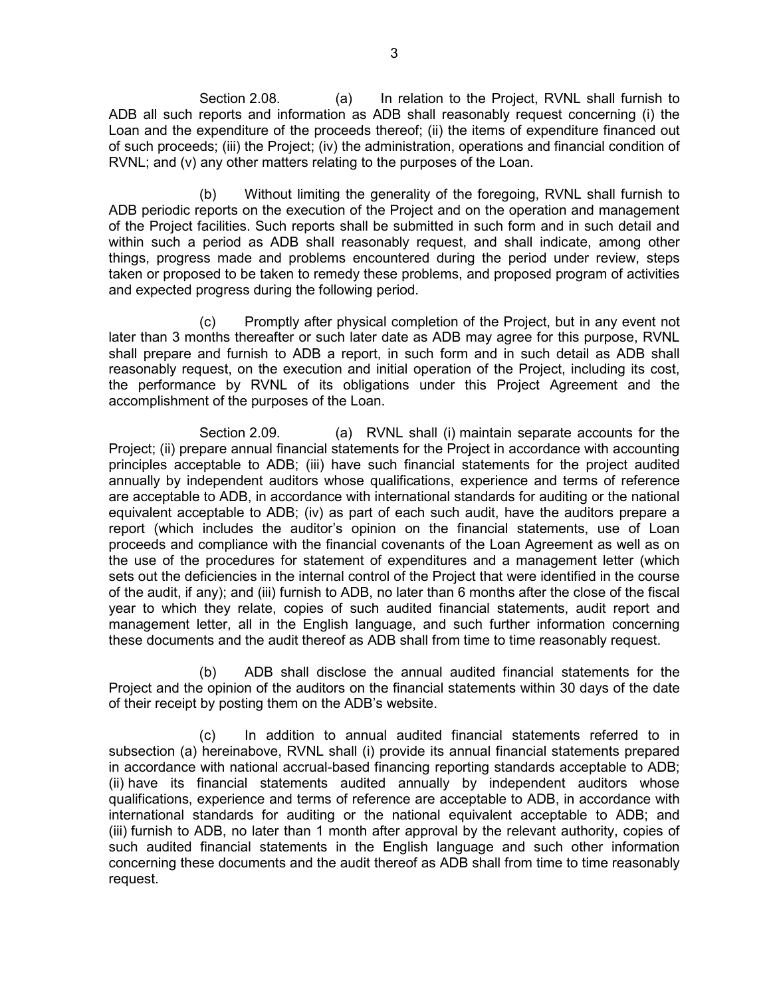Section 2.08. (a) In relation to the Project, RVNL shall furnish to ADB all such reports and information as ADB shall reasonably request concerning (i) the Loan and the expenditure of the proceeds thereof; (ii) the items of expenditure financed out of such proceeds; (iii) the Project; (iv) the administration, operations and financial condition of RVNL; and (v) any other matters relating to the purposes of the Loan.

 (b) Without limiting the generality of the foregoing, RVNL shall furnish to ADB periodic reports on the execution of the Project and on the operation and management of the Project facilities. Such reports shall be submitted in such form and in such detail and within such a period as ADB shall reasonably request, and shall indicate, among other things, progress made and problems encountered during the period under review, steps taken or proposed to be taken to remedy these problems, and proposed program of activities and expected progress during the following period.

 (c) Promptly after physical completion of the Project, but in any event not later than 3 months thereafter or such later date as ADB may agree for this purpose, RVNL shall prepare and furnish to ADB a report, in such form and in such detail as ADB shall reasonably request, on the execution and initial operation of the Project, including its cost, the performance by RVNL of its obligations under this Project Agreement and the accomplishment of the purposes of the Loan.

Section 2.09. (a) RVNL shall (i) maintain separate accounts for the Project; (ii) prepare annual financial statements for the Project in accordance with accounting principles acceptable to ADB; (iii) have such financial statements for the project audited annually by independent auditors whose qualifications, experience and terms of reference are acceptable to ADB, in accordance with international standards for auditing or the national equivalent acceptable to ADB; (iv) as part of each such audit, have the auditors prepare a report (which includes the auditor's opinion on the financial statements, use of Loan proceeds and compliance with the financial covenants of the Loan Agreement as well as on the use of the procedures for statement of expenditures and a management letter (which sets out the deficiencies in the internal control of the Project that were identified in the course of the audit, if any); and (iii) furnish to ADB, no later than 6 months after the close of the fiscal year to which they relate, copies of such audited financial statements, audit report and management letter, all in the English language, and such further information concerning these documents and the audit thereof as ADB shall from time to time reasonably request.

(b) ADB shall disclose the annual audited financial statements for the Project and the opinion of the auditors on the financial statements within 30 days of the date of their receipt by posting them on the ADB's website.

(c) In addition to annual audited financial statements referred to in subsection (a) hereinabove, RVNL shall (i) provide its annual financial statements prepared in accordance with national accrual-based financing reporting standards acceptable to ADB; (ii) have its financial statements audited annually by independent auditors whose qualifications, experience and terms of reference are acceptable to ADB, in accordance with international standards for auditing or the national equivalent acceptable to ADB; and (iii) furnish to ADB, no later than 1 month after approval by the relevant authority, copies of such audited financial statements in the English language and such other information concerning these documents and the audit thereof as ADB shall from time to time reasonably request.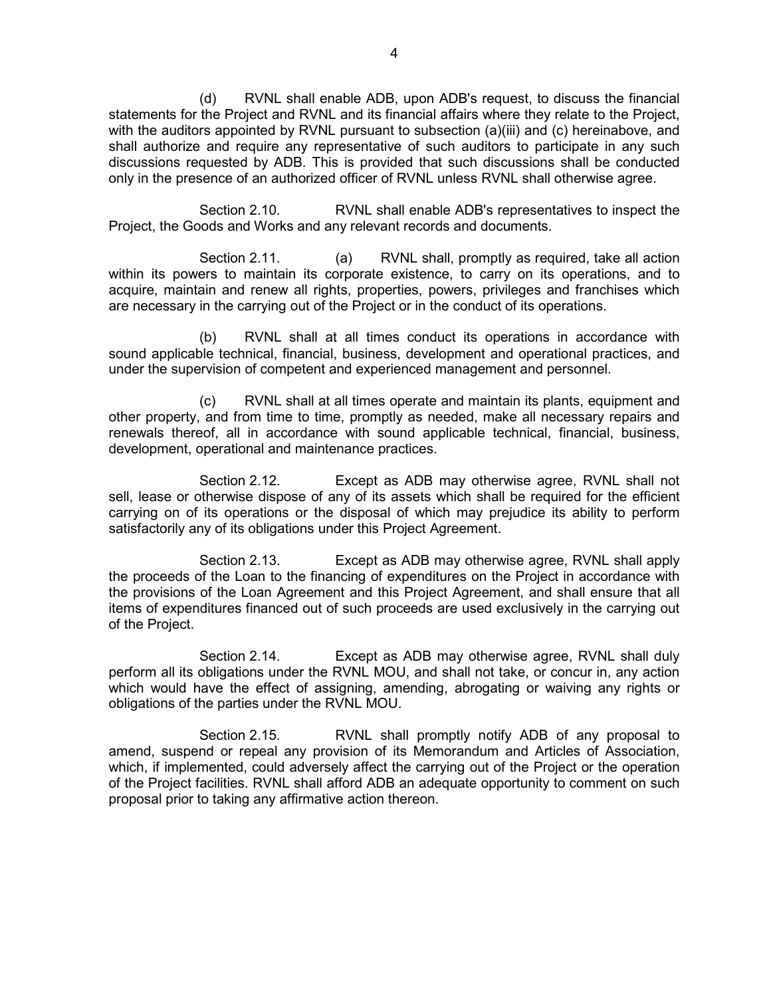(d) RVNL shall enable ADB, upon ADB's request, to discuss the financial statements for the Project and RVNL and its financial affairs where they relate to the Project, with the auditors appointed by RVNL pursuant to subsection (a)(iii) and (c) hereinabove, and shall authorize and require any representative of such auditors to participate in any such discussions requested by ADB. This is provided that such discussions shall be conducted only in the presence of an authorized officer of RVNL unless RVNL shall otherwise agree.

 Section 2.10. RVNL shall enable ADB's representatives to inspect the Project, the Goods and Works and any relevant records and documents.

Section 2.11. (a) RVNL shall, promptly as required, take all action within its powers to maintain its corporate existence, to carry on its operations, and to acquire, maintain and renew all rights, properties, powers, privileges and franchises which are necessary in the carrying out of the Project or in the conduct of its operations.

 (b) RVNL shall at all times conduct its operations in accordance with sound applicable technical, financial, business, development and operational practices, and under the supervision of competent and experienced management and personnel.

 (c) RVNL shall at all times operate and maintain its plants, equipment and other property, and from time to time, promptly as needed, make all necessary repairs and renewals thereof, all in accordance with sound applicable technical, financial, business, development, operational and maintenance practices.

 Section 2.12. Except as ADB may otherwise agree, RVNL shall not sell, lease or otherwise dispose of any of its assets which shall be required for the efficient carrying on of its operations or the disposal of which may prejudice its ability to perform satisfactorily any of its obligations under this Project Agreement.

 Section 2.13. Except as ADB may otherwise agree, RVNL shall apply the proceeds of the Loan to the financing of expenditures on the Project in accordance with the provisions of the Loan Agreement and this Project Agreement, and shall ensure that all items of expenditures financed out of such proceeds are used exclusively in the carrying out of the Project.

 Section 2.14. Except as ADB may otherwise agree, RVNL shall duly perform all its obligations under the RVNL MOU, and shall not take, or concur in, any action which would have the effect of assigning, amending, abrogating or waiving any rights or obligations of the parties under the RVNL MOU.

 Section 2.15. RVNL shall promptly notify ADB of any proposal to amend, suspend or repeal any provision of its Memorandum and Articles of Association, which, if implemented, could adversely affect the carrying out of the Project or the operation of the Project facilities. RVNL shall afford ADB an adequate opportunity to comment on such proposal prior to taking any affirmative action thereon.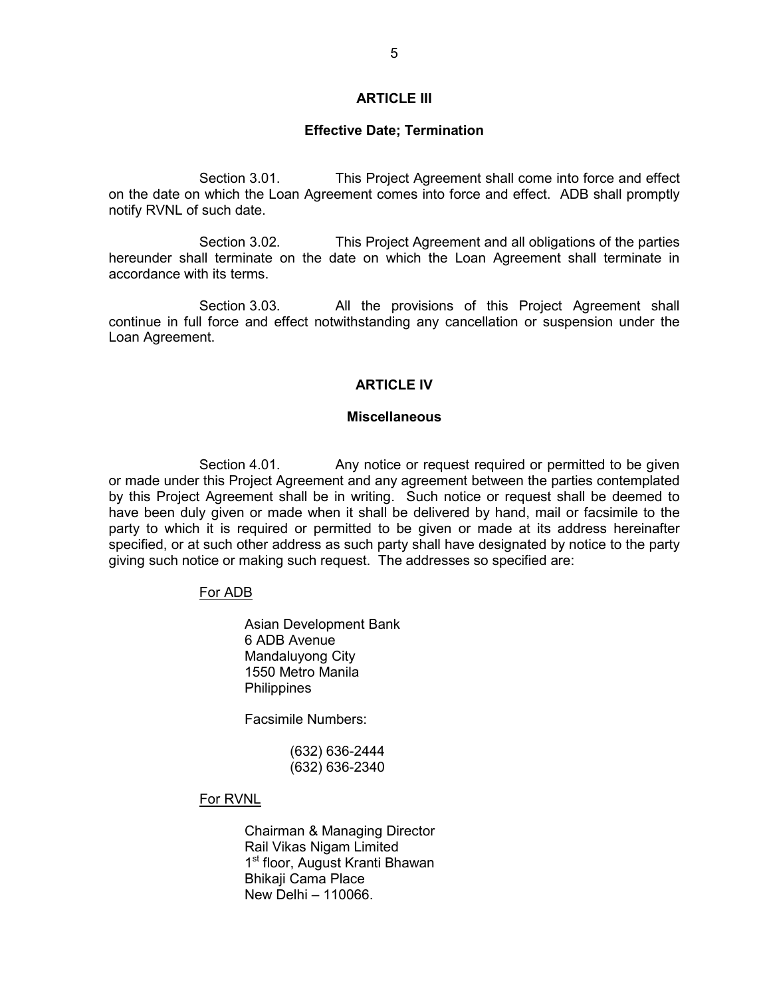# **ARTICLE III**

#### **Effective Date; Termination**

Section 3.01. This Project Agreement shall come into force and effect on the date on which the Loan Agreement comes into force and effect. ADB shall promptly notify RVNL of such date.

Section 3.02. This Project Agreement and all obligations of the parties hereunder shall terminate on the date on which the Loan Agreement shall terminate in accordance with its terms.

Section 3.03. All the provisions of this Project Agreement shall continue in full force and effect notwithstanding any cancellation or suspension under the Loan Agreement.

## **ARTICLE IV**

## **Miscellaneous**

Section 4.01. Any notice or request required or permitted to be given or made under this Project Agreement and any agreement between the parties contemplated by this Project Agreement shall be in writing. Such notice or request shall be deemed to have been duly given or made when it shall be delivered by hand, mail or facsimile to the party to which it is required or permitted to be given or made at its address hereinafter specified, or at such other address as such party shall have designated by notice to the party giving such notice or making such request. The addresses so specified are:

# For ADB

Asian Development Bank 6 ADB Avenue Mandaluyong City 1550 Metro Manila **Philippines** 

Facsimile Numbers:

 (632) 636-2444 (632) 636-2340

# For RVNL

 Chairman & Managing Director Rail Vikas Nigam Limited 1<sup>st</sup> floor, August Kranti Bhawan Bhikaji Cama Place New Delhi – 110066.